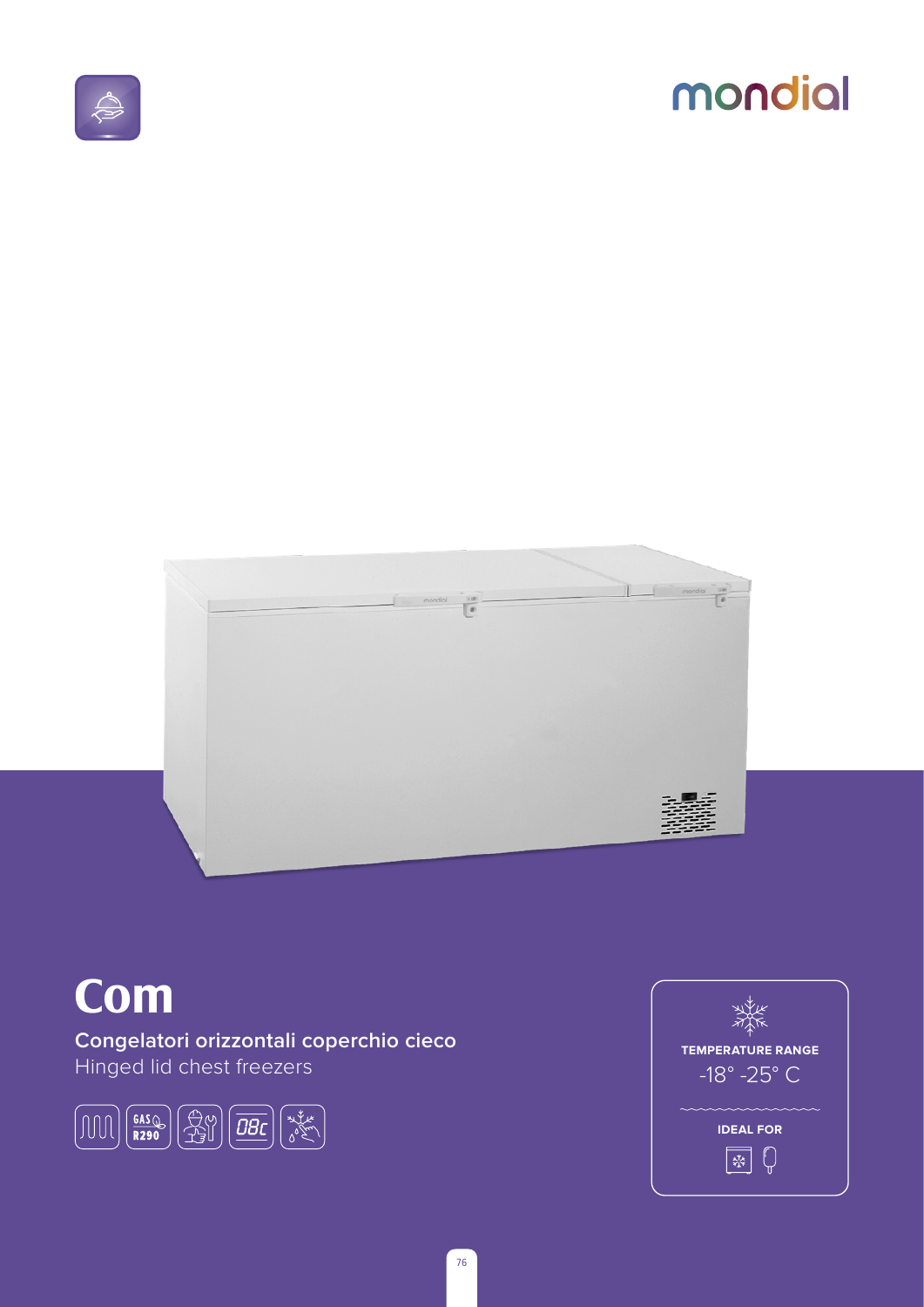

## mondial



## **Com**

Congelatori orizzontali coperchio cieco Hinged lid chest freezers